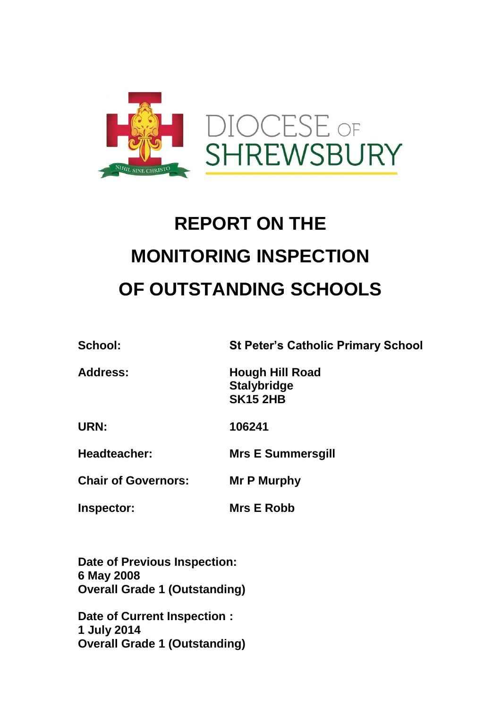

# **REPORT ON THE MONITORING INSPECTION OF OUTSTANDING SCHOOLS**

**School: St Peter's Catholic Primary School**

**Address: Hough Hill Road Stalybridge SK15 2HB**

**URN: 106241**

**Headteacher: Mrs E Summersgill**

**Chair of Governors: Mr P Murphy**

**Inspector: Mrs E Robb** 

**Date of Previous Inspection: 6 May 2008 Overall Grade 1 (Outstanding)**

**Date of Current Inspection : 1 July 2014 Overall Grade 1 (Outstanding)**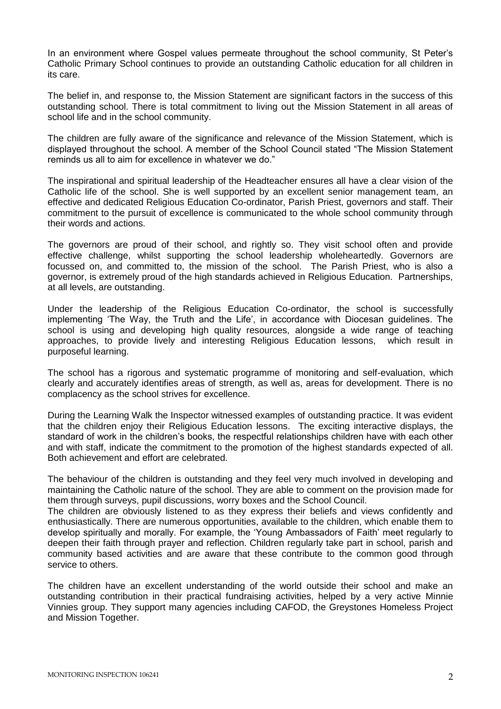In an environment where Gospel values permeate throughout the school community, St Peter's Catholic Primary School continues to provide an outstanding Catholic education for all children in its care.

The belief in, and response to, the Mission Statement are significant factors in the success of this outstanding school. There is total commitment to living out the Mission Statement in all areas of school life and in the school community.

The children are fully aware of the significance and relevance of the Mission Statement, which is displayed throughout the school. A member of the School Council stated "The Mission Statement reminds us all to aim for excellence in whatever we do."

The inspirational and spiritual leadership of the Headteacher ensures all have a clear vision of the Catholic life of the school. She is well supported by an excellent senior management team, an effective and dedicated Religious Education Co-ordinator, Parish Priest, governors and staff. Their commitment to the pursuit of excellence is communicated to the whole school community through their words and actions.

The governors are proud of their school, and rightly so. They visit school often and provide effective challenge, whilst supporting the school leadership wholeheartedly. Governors are focussed on, and committed to, the mission of the school. The Parish Priest, who is also a governor, is extremely proud of the high standards achieved in Religious Education. Partnerships, at all levels, are outstanding.

Under the leadership of the Religious Education Co-ordinator, the school is successfully implementing 'The Way, the Truth and the Life', in accordance with Diocesan guidelines. The school is using and developing high quality resources, alongside a wide range of teaching approaches, to provide lively and interesting Religious Education lessons, which result in purposeful learning.

The school has a rigorous and systematic programme of monitoring and self-evaluation, which clearly and accurately identifies areas of strength, as well as, areas for development. There is no complacency as the school strives for excellence.

During the Learning Walk the Inspector witnessed examples of outstanding practice. It was evident that the children enjoy their Religious Education lessons. The exciting interactive displays, the standard of work in the children's books, the respectful relationships children have with each other and with staff, indicate the commitment to the promotion of the highest standards expected of all. Both achievement and effort are celebrated.

The behaviour of the children is outstanding and they feel very much involved in developing and maintaining the Catholic nature of the school. They are able to comment on the provision made for them through surveys, pupil discussions, worry boxes and the School Council.

The children are obviously listened to as they express their beliefs and views confidently and enthusiastically. There are numerous opportunities, available to the children, which enable them to develop spiritually and morally. For example, the 'Young Ambassadors of Faith' meet regularly to deepen their faith through prayer and reflection. Children regularly take part in school, parish and community based activities and are aware that these contribute to the common good through service to others.

The children have an excellent understanding of the world outside their school and make an outstanding contribution in their practical fundraising activities, helped by a very active Minnie Vinnies group. They support many agencies including CAFOD, the Greystones Homeless Project and Mission Together.